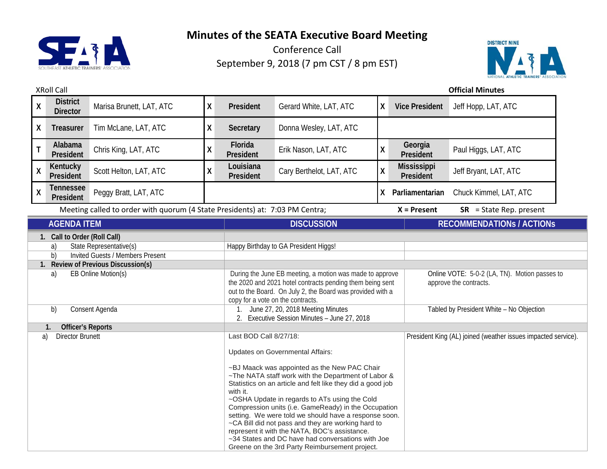



| <b>XRoll Call</b>                                                                                                                                                                     |                                    |                          |                                                                                                                                                                                                                                                                                                                                                                                                                                                                                                                                                                                                                             |                                                                                |                                                                                                                                                                                                                                                                   |                                                               | <b>Official Minutes</b>                  |                                                                         |
|---------------------------------------------------------------------------------------------------------------------------------------------------------------------------------------|------------------------------------|--------------------------|-----------------------------------------------------------------------------------------------------------------------------------------------------------------------------------------------------------------------------------------------------------------------------------------------------------------------------------------------------------------------------------------------------------------------------------------------------------------------------------------------------------------------------------------------------------------------------------------------------------------------------|--------------------------------------------------------------------------------|-------------------------------------------------------------------------------------------------------------------------------------------------------------------------------------------------------------------------------------------------------------------|---------------------------------------------------------------|------------------------------------------|-------------------------------------------------------------------------|
| $\pmb{\mathsf{X}}$                                                                                                                                                                    | <b>District</b><br><b>Director</b> | Marisa Brunett, LAT, ATC | χ                                                                                                                                                                                                                                                                                                                                                                                                                                                                                                                                                                                                                           | President                                                                      | Gerard White, LAT, ATC                                                                                                                                                                                                                                            | Χ                                                             | <b>Vice President</b>                    | Jeff Hopp, LAT, ATC                                                     |
| X                                                                                                                                                                                     | Treasurer                          | Tim McLane, LAT, ATC     | χ                                                                                                                                                                                                                                                                                                                                                                                                                                                                                                                                                                                                                           | Secretary                                                                      | Donna Wesley, LAT, ATC                                                                                                                                                                                                                                            |                                                               |                                          |                                                                         |
| T                                                                                                                                                                                     | Alabama<br>President               | Chris King, LAT, ATC     | χ                                                                                                                                                                                                                                                                                                                                                                                                                                                                                                                                                                                                                           | Florida<br>President                                                           | Erik Nason, LAT, ATC                                                                                                                                                                                                                                              | χ                                                             | Georgia<br>President                     | Paul Higgs, LAT, ATC                                                    |
| $\pmb{\mathsf{X}}$                                                                                                                                                                    | Kentucky<br>President              | Scott Helton, LAT, ATC   | χ                                                                                                                                                                                                                                                                                                                                                                                                                                                                                                                                                                                                                           | Louisiana<br>President                                                         | Cary Berthelot, LAT, ATC                                                                                                                                                                                                                                          | Χ                                                             | <b>Mississippi</b><br>President          | Jeff Bryant, LAT, ATC                                                   |
| $\pmb{\mathsf{X}}$                                                                                                                                                                    | <b>Tennessee</b><br>President      | Peggy Bratt, LAT, ATC    |                                                                                                                                                                                                                                                                                                                                                                                                                                                                                                                                                                                                                             |                                                                                |                                                                                                                                                                                                                                                                   |                                                               | X Parliamentarian                        | Chuck Kimmel, LAT, ATC                                                  |
| Meeting called to order with quorum (4 State Presidents) at: 7:03 PM Centra;                                                                                                          |                                    |                          |                                                                                                                                                                                                                                                                                                                                                                                                                                                                                                                                                                                                                             |                                                                                |                                                                                                                                                                                                                                                                   |                                                               | $X =$ Present                            | $SR = State Rep. present$                                               |
|                                                                                                                                                                                       | <b>AGENDA ITEM</b>                 |                          |                                                                                                                                                                                                                                                                                                                                                                                                                                                                                                                                                                                                                             |                                                                                | <b>DISCUSSION</b>                                                                                                                                                                                                                                                 |                                                               |                                          | <b>RECOMMENDATIONS / ACTIONS</b>                                        |
| 1. Call to Order (Roll Call)<br>State Representative(s)<br>a)<br>Invited Guests / Members Present<br>b)<br><b>Review of Previous Discussion(s)</b><br>1.<br>EB Online Motion(s)<br>a) |                                    |                          |                                                                                                                                                                                                                                                                                                                                                                                                                                                                                                                                                                                                                             |                                                                                | Happy Birthday to GA President Higgs!<br>During the June EB meeting, a motion was made to approve<br>the 2020 and 2021 hotel contracts pending them being sent<br>out to the Board. On July 2, the Board was provided with a<br>copy for a vote on the contracts. |                                                               |                                          | Online VOTE: 5-0-2 (LA, TN). Motion passes to<br>approve the contracts. |
| Consent Agenda<br>b)                                                                                                                                                                  |                                    |                          |                                                                                                                                                                                                                                                                                                                                                                                                                                                                                                                                                                                                                             | June 27, 20, 2018 Meeting Minutes<br>Executive Session Minutes - June 27, 2018 |                                                                                                                                                                                                                                                                   |                                                               | Tabled by President White - No Objection |                                                                         |
| <b>Officer's Reports</b>                                                                                                                                                              |                                    |                          |                                                                                                                                                                                                                                                                                                                                                                                                                                                                                                                                                                                                                             |                                                                                |                                                                                                                                                                                                                                                                   |                                                               |                                          |                                                                         |
| <b>Director Brunett</b><br>a)                                                                                                                                                         |                                    |                          | Last BOD Call 8/27/18:<br>Updates on Governmental Affairs:<br>~BJ Maack was appointed as the New PAC Chair<br>~The NATA staff work with the Department of Labor &<br>Statistics on an article and felt like they did a good job<br>with it.<br>~OSHA Update in regards to ATs using the Cold<br>Compression units (i.e. GameReady) in the Occupation<br>setting. We were told we should have a response soon.<br>~CA Bill did not pass and they are working hard to<br>represent it with the NATA, BOC's assistance.<br>~34 States and DC have had conversations with Joe<br>Greene on the 3rd Party Reimbursement project. |                                                                                |                                                                                                                                                                                                                                                                   | President King (AL) joined (weather issues impacted service). |                                          |                                                                         |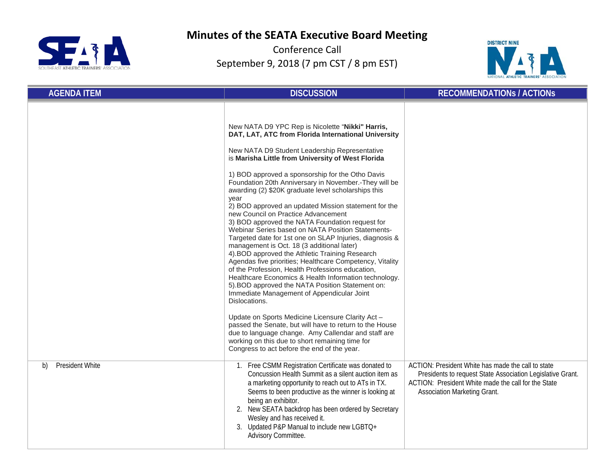



| <b>AGENDA ITEM</b>           | <b>DISCUSSION</b>                                                                                                                                                                                                                                                                                                                                                                                                                                                                                                                                                                                                                                                                                                                                                                                                                                                                                                                                                                                                                                                                                                                                                                                                                                                                                                                 | <b>RECOMMENDATIONS / ACTIONS</b>                                                                                                                                                                        |
|------------------------------|-----------------------------------------------------------------------------------------------------------------------------------------------------------------------------------------------------------------------------------------------------------------------------------------------------------------------------------------------------------------------------------------------------------------------------------------------------------------------------------------------------------------------------------------------------------------------------------------------------------------------------------------------------------------------------------------------------------------------------------------------------------------------------------------------------------------------------------------------------------------------------------------------------------------------------------------------------------------------------------------------------------------------------------------------------------------------------------------------------------------------------------------------------------------------------------------------------------------------------------------------------------------------------------------------------------------------------------|---------------------------------------------------------------------------------------------------------------------------------------------------------------------------------------------------------|
|                              | New NATA D9 YPC Rep is Nicolette "Nikki" Harris,<br>DAT, LAT, ATC from Florida International University<br>New NATA D9 Student Leadership Representative<br>is Marisha Little from University of West Florida<br>1) BOD approved a sponsorship for the Otho Davis<br>Foundation 20th Anniversary in November.-They will be<br>awarding (2) \$20K graduate level scholarships this<br>year<br>2) BOD approved an updated Mission statement for the<br>new Council on Practice Advancement<br>3) BOD approved the NATA Foundation request for<br>Webinar Series based on NATA Position Statements-<br>Targeted date for 1st one on SLAP Injuries, diagnosis &<br>management is Oct. 18 (3 additional later)<br>4). BOD approved the Athletic Training Research<br>Agendas five priorities; Healthcare Competency, Vitality<br>of the Profession, Health Professions education,<br>Healthcare Economics & Health Information technology.<br>5). BOD approved the NATA Position Statement on:<br>Immediate Management of Appendicular Joint<br>Dislocations.<br>Update on Sports Medicine Licensure Clarity Act -<br>passed the Senate, but will have to return to the House<br>due to language change. Amy Callendar and staff are<br>working on this due to short remaining time for<br>Congress to act before the end of the year. |                                                                                                                                                                                                         |
| <b>President White</b><br>b) | 1. Free CSMM Registration Certificate was donated to<br>Concussion Health Summit as a silent auction item as<br>a marketing opportunity to reach out to ATs in TX.<br>Seems to been productive as the winner is looking at<br>being an exhibitor.<br>2. New SEATA backdrop has been ordered by Secretary<br>Wesley and has received it.<br>3. Updated P&P Manual to include new LGBTQ+<br>Advisory Committee.                                                                                                                                                                                                                                                                                                                                                                                                                                                                                                                                                                                                                                                                                                                                                                                                                                                                                                                     | ACTION: President White has made the call to state<br>Presidents to request State Association Legislative Grant.<br>ACTION: President White made the call for the State<br>Association Marketing Grant. |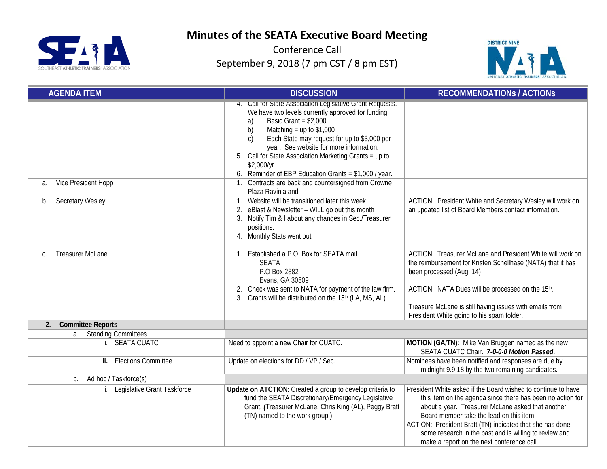



| <b>AGENDA ITEM</b>                                         | <b>DISCUSSION</b>                                                                                                                                                                                                                                                                                                                                                                                                      | <b>RECOMMENDATIONS / ACTIONS</b>                                                                                                                                                                                                                                                                                                                                                                 |
|------------------------------------------------------------|------------------------------------------------------------------------------------------------------------------------------------------------------------------------------------------------------------------------------------------------------------------------------------------------------------------------------------------------------------------------------------------------------------------------|--------------------------------------------------------------------------------------------------------------------------------------------------------------------------------------------------------------------------------------------------------------------------------------------------------------------------------------------------------------------------------------------------|
|                                                            | 4. Call for State Association Legislative Grant Requests.<br>We have two levels currently approved for funding:<br>Basic Grant = $$2,000$<br>a)<br>b)<br>Matching = up to $$1,000$<br>Each State may request for up to \$3,000 per<br>C)<br>year. See website for more information.<br>5. Call for State Association Marketing Grants = up to<br>\$2,000/yr.<br>6. Reminder of EBP Education Grants = $$1,000$ / year. |                                                                                                                                                                                                                                                                                                                                                                                                  |
| Vice President Hopp<br>a.<br><b>Secretary Wesley</b><br>b. | 1. Contracts are back and countersigned from Crowne<br>Plaza Ravinia and<br>1. Website will be transitioned later this week<br>2. eBlast & Newsletter - WILL go out this month<br>Notify Tim & I about any changes in Sec./Treasurer<br>3.<br>positions.<br>4. Monthly Stats went out                                                                                                                                  | ACTION: President White and Secretary Wesley will work on<br>an updated list of Board Members contact information.                                                                                                                                                                                                                                                                               |
| <b>Treasurer McLane</b><br>C.                              | 1. Established a P.O. Box for SEATA mail.<br><b>SEATA</b><br>P.O Box 2882<br>Evans, GA 30809<br>2. Check was sent to NATA for payment of the law firm.<br>Grants will be distributed on the 15 <sup>th</sup> (LA, MS, AL)<br>3.                                                                                                                                                                                        | ACTION: Treasurer McLane and President White will work on<br>the reimbursement for Kristen Schellhase (NATA) that it has<br>been processed (Aug. 14)<br>ACTION: NATA Dues will be processed on the 15th.<br>Treasure McLane is still having issues with emails from<br>President White going to his spam folder.                                                                                 |
| 2.<br><b>Committee Reports</b>                             |                                                                                                                                                                                                                                                                                                                                                                                                                        |                                                                                                                                                                                                                                                                                                                                                                                                  |
| <b>Standing Committees</b><br>а.                           |                                                                                                                                                                                                                                                                                                                                                                                                                        |                                                                                                                                                                                                                                                                                                                                                                                                  |
| i. SEATA CUATC                                             | Need to appoint a new Chair for CUATC.                                                                                                                                                                                                                                                                                                                                                                                 | MOTION (GA/TN): Mike Van Bruggen named as the new<br>SEATA CUATC Chair. 7-0-0-0 Motion Passed.                                                                                                                                                                                                                                                                                                   |
| ii. Elections Committee                                    | Update on elections for DD / VP / Sec.                                                                                                                                                                                                                                                                                                                                                                                 | Nominees have been notified and responses are due by<br>midnight 9.9.18 by the two remaining candidates.                                                                                                                                                                                                                                                                                         |
| Ad hoc / Taskforce(s)<br>b.                                |                                                                                                                                                                                                                                                                                                                                                                                                                        |                                                                                                                                                                                                                                                                                                                                                                                                  |
| Legislative Grant Taskforce                                | Update on ATCTION: Created a group to develop criteria to<br>fund the SEATA Discretionary/Emergency Legislative<br>Grant. (Treasurer McLane, Chris King (AL), Peggy Bratt<br>(TN) named to the work group.)                                                                                                                                                                                                            | President White asked if the Board wished to continue to have<br>this item on the agenda since there has been no action for<br>about a year. Treasurer McLane asked that another<br>Board member take the lead on this item.<br>ACTION: President Bratt (TN) indicated that she has done<br>some research in the past and is willing to review and<br>make a report on the next conference call. |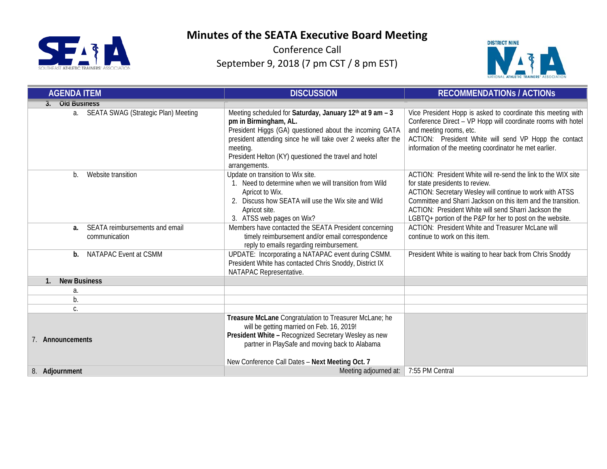



| <b>AGENDA ITEM</b>                                    | <b>DISCUSSION</b>                                                                                                                                                                                                                                                                                   | <b>RECOMMENDATIONS / ACTIONS</b>                                                                                                                                                                                                                                                                                                                   |  |
|-------------------------------------------------------|-----------------------------------------------------------------------------------------------------------------------------------------------------------------------------------------------------------------------------------------------------------------------------------------------------|----------------------------------------------------------------------------------------------------------------------------------------------------------------------------------------------------------------------------------------------------------------------------------------------------------------------------------------------------|--|
| <b>Old Business</b>                                   |                                                                                                                                                                                                                                                                                                     |                                                                                                                                                                                                                                                                                                                                                    |  |
| a. SEATA SWAG (Strategic Plan) Meeting                | Meeting scheduled for Saturday, January 12th at 9 am - 3<br>pm in Birmingham, AL.<br>President Higgs (GA) questioned about the incoming GATA<br>president attending since he will take over 2 weeks after the<br>meeting.<br>President Helton (KY) questioned the travel and hotel<br>arrangements. | Vice President Hopp is asked to coordinate this meeting with<br>Conference Direct - VP Hopp will coordinate rooms with hotel<br>and meeting rooms, etc.<br>ACTION: President White will send VP Hopp the contact<br>information of the meeting coordinator he met earlier.                                                                         |  |
| Website transition<br>b.                              | Update on transition to Wix site.<br>1. Need to determine when we will transition from Wild<br>Apricot to Wix.<br>2. Discuss how SEATA will use the Wix site and Wild<br>Apricot site.<br>3. ATSS web pages on Wix?                                                                                 | ACTION: President White will re-send the link to the WIX site<br>for state presidents to review.<br>ACTION: Secretary Wesley will continue to work with ATSS<br>Committee and Sharri Jackson on this item and the transition.<br>ACTION: President White will send Sharri Jackson the<br>LGBTQ+ portion of the P&P for her to post on the website. |  |
| SEATA reimbursements and email<br>a.<br>communication | Members have contacted the SEATA President concerning<br>timely reimbursement and/or email correspondence<br>reply to emails regarding reimbursement.                                                                                                                                               | ACTION: President White and Treasurer McLane will<br>continue to work on this item.                                                                                                                                                                                                                                                                |  |
| NATAPAC Event at CSMM<br>b.                           | UPDATE: Incorporating a NATAPAC event during CSMM.<br>President White has contacted Chris Snoddy, District IX<br>NATAPAC Representative.                                                                                                                                                            | President White is waiting to hear back from Chris Snoddy                                                                                                                                                                                                                                                                                          |  |
| <b>New Business</b><br>1.                             |                                                                                                                                                                                                                                                                                                     |                                                                                                                                                                                                                                                                                                                                                    |  |
| a.                                                    |                                                                                                                                                                                                                                                                                                     |                                                                                                                                                                                                                                                                                                                                                    |  |
| b.                                                    |                                                                                                                                                                                                                                                                                                     |                                                                                                                                                                                                                                                                                                                                                    |  |
| C.                                                    |                                                                                                                                                                                                                                                                                                     |                                                                                                                                                                                                                                                                                                                                                    |  |
| 7. Announcements                                      | Treasure McLane Congratulation to Treasurer McLane; he<br>will be getting married on Feb. 16, 2019!<br>President White - Recognized Secretary Wesley as new<br>partner in PlaySafe and moving back to Alabama<br>New Conference Call Dates - Next Meeting Oct. 7                                    |                                                                                                                                                                                                                                                                                                                                                    |  |
| 8. Adjournment                                        | Meeting adjourned at:                                                                                                                                                                                                                                                                               | 7:55 PM Central                                                                                                                                                                                                                                                                                                                                    |  |